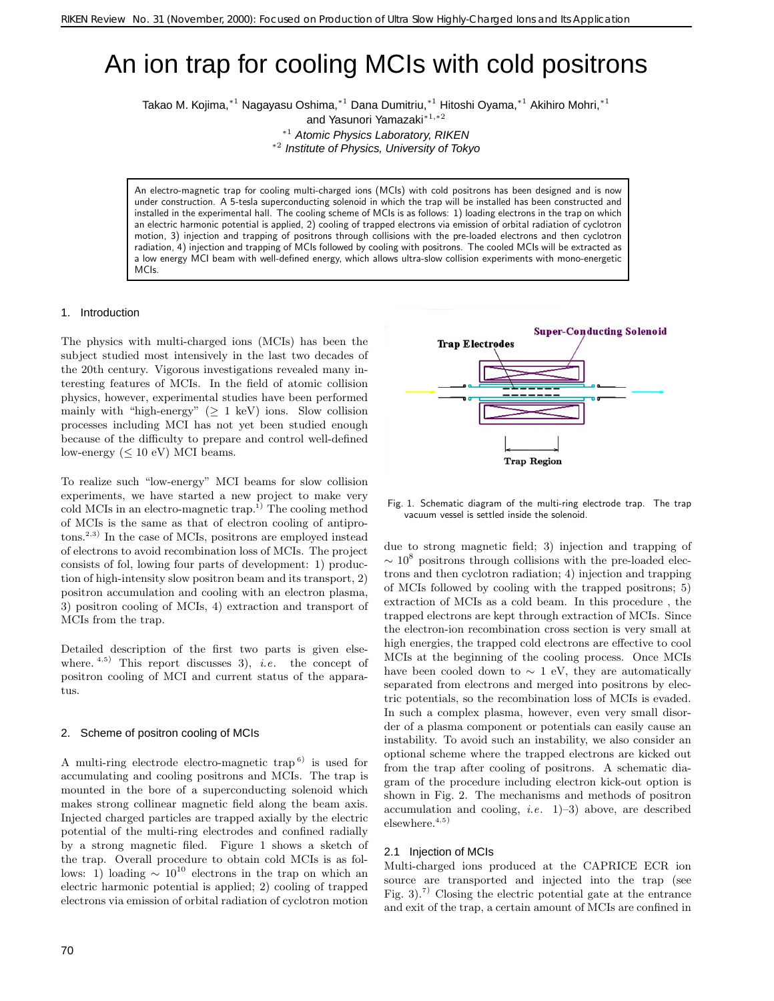# An ion trap for cooling MCIs with cold positrons

Takao M. Kojima,<sup>∗</sup>1 Nagayasu Oshima,<sup>∗</sup>1 Dana Dumitriu,<sup>∗</sup>1 Hitoshi Oyama,<sup>∗</sup>1 Akihiro Mohri,<sup>∗</sup>1

and Yasunori Yamazaki<sup>∗</sup>1*,*∗2

<sup>∗</sup><sup>1</sup> Atomic Physics Laboratory, RIKEN

<sup>∗</sup><sup>2</sup> Institute of Physics, University of Tokyo

An electro-magnetic trap for cooling multi-charged ions (MCIs) with cold positrons has been designed and is now under construction. A 5-tesla superconducting solenoid in which the trap will be installed has been constructed and installed in the experimental hall. The cooling scheme of MCIs is as follows: 1) loading electrons in the trap on which an electric harmonic potential is applied, 2) cooling of trapped electrons via emission of orbital radiation of cyclotron motion, 3) injection and trapping of positrons through collisions with the pre-loaded electrons and then cyclotron radiation, 4) injection and trapping of MCIs followed by cooling with positrons. The cooled MCIs will be extracted as a low energy MCI beam with well-defined energy, which allows ultra-slow collision experiments with mono-energetic MCIs.

## 1. Introduction

The physics with multi-charged ions (MCIs) has been the subject studied most intensively in the last two decades of the 20th century. Vigorous investigations revealed many interesting features of MCIs. In the field of atomic collision physics, however, experimental studies have been performed mainly with "high-energy" ( $\geq 1$  keV) ions. Slow collision processes including MCI has not yet been studied enough because of the difficulty to prepare and control well-defined low-energy ( $\leq 10$  eV) MCI beams.

To realize such "low-energy" MCI beams for slow collision experiments, we have started a new project to make very cold MCIs in an electro-magnetic  $trap^{1}$ . The cooling method of MCIs is the same as that of electron cooling of antiprotons.2,3) In the case of MCIs, positrons are employed instead of electrons to avoid recombination loss of MCIs.The project consists of fol, lowing four parts of development: 1) production of high-intensity slow positron beam and its transport, 2) positron accumulation and cooling with an electron plasma, 3) positron cooling of MCIs, 4) extraction and transport of MCIs from the trap.

Detailed description of the first two parts is given elsewhere.  $4,5$  This report discusses 3), *i.e.* the concept of positron cooling of MCI and current status of the apparatus.

#### 2. Scheme of positron cooling of MCIs

A multi-ring electrode electro-magnetic trap  $\binom{6}{1}$  is used for accumulating and cooling positrons and MCIs. The trap is mounted in the bore of a superconducting solenoid which makes strong collinear magnetic field along the beam axis. Injected charged particles are trapped axially by the electric potential of the multi-ring electrodes and confined radially by a strong magnetic filed. Figure 1 shows a sketch of the trap. Overall procedure to obtain cold MCIs is as follows: 1) loading  $\sim 10^{10}$  electrons in the trap on which an electric harmonic potential is applied; 2) cooling of trapped electrons via emission of orbital radiation of cyclotron motion

70



Fig. 1. Schematic diagram of the multi-ring electrode trap. The trap vacuum vessel is settled inside the solenoid.

due to strong magnetic field; 3) injection and trapping of  $\sim 10^8$  positrons through collisions with the pre-loaded electrons and then cyclotron radiation; 4) injection and trapping of MCIs followed by cooling with the trapped positrons; 5) extraction of MCIs as a cold beam.In this procedure , the trapped electrons are kept through extraction of MCIs. Since the electron-ion recombination cross section is very small at high energies, the trapped cold electrons are effective to cool MCIs at the beginning of the cooling process. Once MCIs have been cooled down to  $\sim 1$  eV, they are automatically separated from electrons and merged into positrons by electric potentials, so the recombination loss of MCIs is evaded. In such a complex plasma, however, even very small disorder of a plasma component or potentials can easily cause an instability.To avoid such an instability, we also consider an optional scheme where the trapped electrons are kicked out from the trap after cooling of positrons. A schematic diagram of the procedure including electron kick-out option is shown in Fig.2. The mechanisms and methods of positron accumulation and cooling, *i.e*.1)–3) above, are described elsewhere. $4,5)$ 

## 2.1 Injection of MCIs

Multi-charged ions produced at the CAPRICE ECR ion source are transported and injected into the trap (see Fig. 3).<sup>7)</sup> Closing the electric potential gate at the entrance and exit of the trap, a certain amount of MCIs are confined in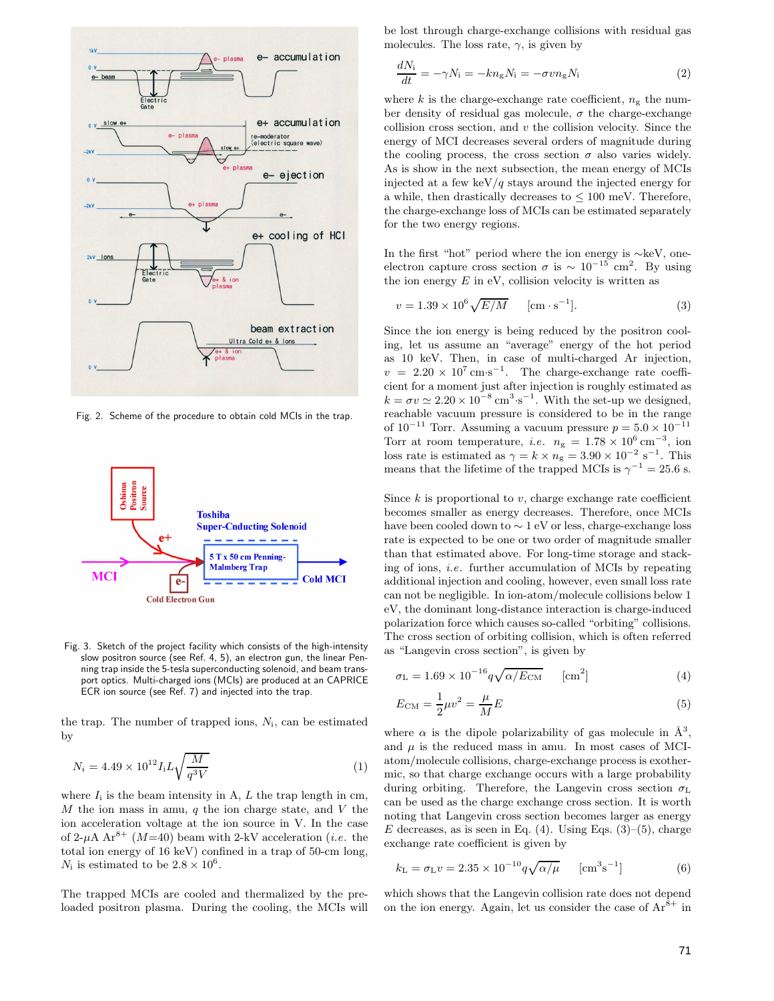

Fig. 2. Scheme of the procedure to obtain cold MCIs in the trap.



Fig. 3. Sketch of the project facility which consists of the high-intensity slow positron source (see Ref. 4, 5), an electron gun, the linear Penning trap inside the 5-tesla superconducting solenoid, and beam transport optics. Multi-charged ions (MCIs) are produced at an CAPRICE ECR ion source (see Ref. 7) and injected into the trap.

the trap. The number of trapped ions,  $N_i$ , can be estimated by

$$
N_i = 4.49 \times 10^{12} I_i L \sqrt{\frac{M}{q^3 V}}
$$
 (1)

where  $I_i$  is the beam intensity in A,  $L$  the trap length in cm,  $M$  the ion mass in amu,  $q$  the ion charge state, and  $V$  the ion acceleration voltage at the ion source in V.In the case of 2- $\mu$ A Ar<sup>8+</sup> (M=40) beam with 2-kV acceleration (*i.e.* the total ion energy of 16 keV) confined in a trap of 50-cm long,  $N_i$  is estimated to be  $2.8 \times 10^6$ .

The trapped MCIs are cooled and thermalized by the preloaded positron plasma. During the cooling, the MCIs will be lost through charge-exchange collisions with residual gas molecules. The loss rate,  $\gamma$ , is given by

$$
\frac{dN_i}{dt} = -\gamma N_i = -kn_gN_i = -\sigma vn_gN_i \tag{2}
$$

where k is the charge-exchange rate coefficient,  $n_{\sigma}$  the number density of residual gas molecule,  $\sigma$  the charge-exchange collision cross section, and  $v$  the collision velocity. Since the energy of MCI decreases several orders of magnitude during the cooling process, the cross section  $\sigma$  also varies widely. As is show in the next subsection, the mean energy of MCIs injected at a few keV/q stays around the injected energy for a while, then drastically decreases to  $\leq 100$  meV. Therefore, the charge-exchange loss of MCIs can be estimated separately for the two energy regions.

In the first "hot" period where the ion energy is ∼keV, oneelectron capture cross section  $\sigma$  is  $\sim 10^{-15}$  cm<sup>2</sup>. By using the ion energy  $E$  in eV, collision velocity is written as

$$
v = 1.39 \times 10^6 \sqrt{E/M} \quad \text{[cm} \cdot \text{s}^{-1}]. \tag{3}
$$

Since the ion energy is being reduced by the positron cooling, let us assume an "average" energy of the hot period as 10 keV.Then, in case of multi-charged Ar injection,  $v = 2.20 \times 10^7 \,\mathrm{cm} \cdot \mathrm{s}^{-1}$ . The charge-exchange rate coefficient for a moment just after injection is roughly estimated as  $k = \sigma v \simeq 2.20 \times 10^{-8} \text{ cm}^3 \text{ s}^{-1}$ . With the set-up we designed, reachable vacuum pressure is considered to be in the range of  $10^{-11}$  Torr. Assuming a vacuum pressure  $p = 5.0 \times 10^{-11}$ Torr at room temperature, *i.e.*  $n_{\rm g} = 1.78 \times 10^6 \,\rm cm^{-3}$ , ion loss rate is estimated as  $\gamma = k \times n_{\rm g} = 3.90 \times 10^{-2} \text{ s}^{-1}$ . This means that the lifetime of the trapped MCIs is  $\gamma^{-1} = 25.6$  s.

Since  $k$  is proportional to  $v$ , charge exchange rate coefficient becomes smaller as energy decreases.Therefore, once MCIs have been cooled down to ∼ 1 eV or less, charge-exchange loss rate is expected to be one or two order of magnitude smaller than that estimated above.For long-time storage and stacking of ions, *i.e.* further accumulation of MCIs by repeating additional injection and cooling, however, even small loss rate can not be negligible.In ion-atom/molecule collisions below 1 eV, the dominant long-distance interaction is charge-induced polarization force which causes so-called "orbiting" collisions. The cross section of orbiting collision, which is often referred as "Langevin cross section", is given by

$$
\sigma_{\rm L} = 1.69 \times 10^{-16} q \sqrt{\alpha/E_{\rm CM}} \qquad \text{[cm}^2\text{]}
$$
 (4)

$$
E_{\rm CM} = \frac{1}{2}\mu v^2 = \frac{\mu}{M}E\tag{5}
$$

where  $\alpha$  is the dipole polarizability of gas molecule in  $\mathring{A}^3$ . and  $\mu$  is the reduced mass in amu. In most cases of MCIatom/molecule collisions, charge-exchange process is exothermic, so that charge exchange occurs with a large probability during orbiting. Therefore, the Langevin cross section  $\sigma_{\rm L}$ can be used as the charge exchange cross section. It is worth noting that Langevin cross section becomes larger as energy E decreases, as is seen in Eq. (4). Using Eqs.  $(3)$ – $(5)$ , charge exchange rate coefficient is given by

$$
k_{\rm L} = \sigma_{\rm L} v = 2.35 \times 10^{-10} q \sqrt{\alpha / \mu} \quad \text{[cm}^3 \text{s}^{-1} \text{]} \tag{6}
$$

which shows that the Langevin collision rate does not depend on the ion energy. Again, let us consider the case of  $Ar^{8+}$  in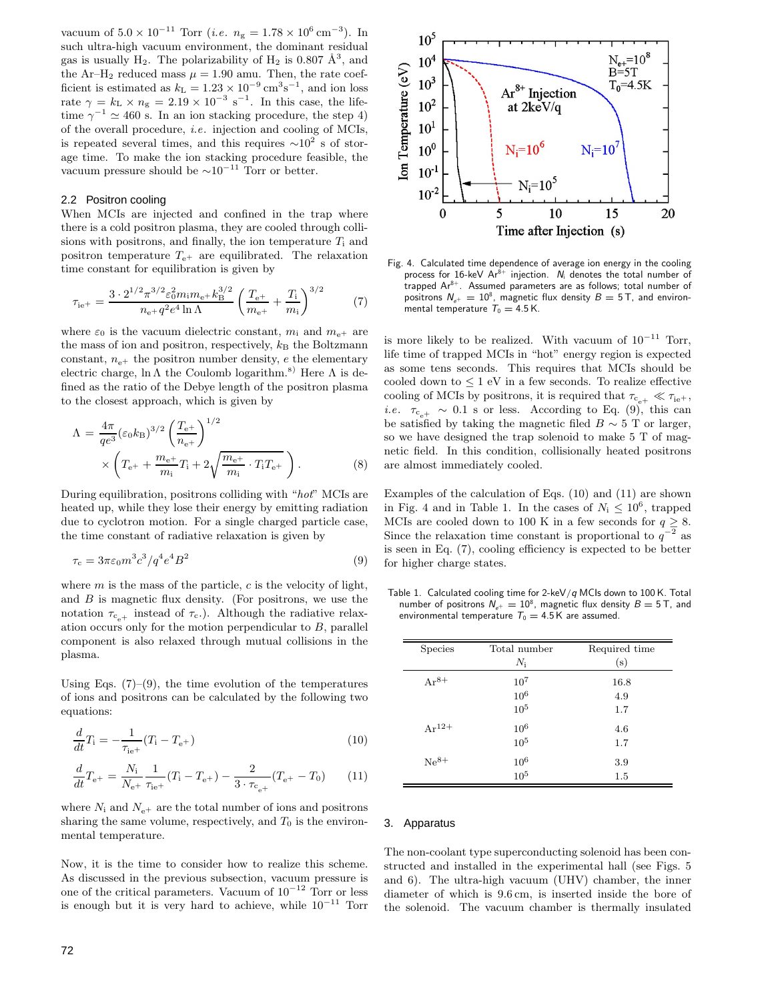vacuum of  $5.0 \times 10^{-11}$  Torr (*i.e.*  $n_{\rm g} = 1.78 \times 10^6 \,\rm cm^{-3}$ ). In such ultra-high vacuum environment, the dominant residual gas is usually H<sub>2</sub>. The polarizability of H<sub>2</sub> is 0.807  $\AA^3$ , and the Ar–H<sub>2</sub> reduced mass  $\mu = 1.90$  amu. Then, the rate coefficient is estimated as  $k_L = 1.23 \times 10^{-9} \text{ cm}^3 \text{s}^{-1}$ , and ion loss rate  $\gamma = k_L \times n_g = 2.19 \times 10^{-3} \text{ s}^{-1}$ . In this case, the lifetime  $\gamma^{-1}\simeq 460$  s. In an ion stacking procedure, the step 4) of the overall procedure, *i.e*.injection and cooling of MCIs, is repeated several times, and this requires  $\sim 10^2$  s of storage time. To make the ion stacking procedure feasible, the vacuum pressure should be  $\sim 10^{-11}$  Torr or better.

## 2.2 Positron cooling

When MCIs are injected and confined in the trap where there is a cold positron plasma, they are cooled through collisions with positrons, and finally, the ion temperature  $T_i$  and positron temperature  $T_{e^+}$  are equilibrated. The relaxation time constant for equilibration is given by

$$
\tau_{\rm ie^{+}} = \frac{3 \cdot 2^{1/2} \pi^{3/2} \varepsilon_0^2 m_{\rm i} m_{\rm e^{+}} k_{\rm B}^{3/2}}{n_{\rm e^{+}} q^2 e^4 \ln \Lambda} \left(\frac{T_{\rm e^{+}}}{m_{\rm e^{+}}} + \frac{T_{\rm i}}{m_{\rm i}}\right)^{3/2} \tag{7}
$$

where  $\varepsilon_0$  is the vacuum dielectric constant,  $m_i$  and  $m_{e^+}$  are the mass of ion and positron, respectively,  $k<sub>B</sub>$  the Boltzmann constant,  $n_{e^+}$  the positron number density, e the elementary electric charge, ln  $\Lambda$  the Coulomb logarithm.<sup>8)</sup> Here  $\Lambda$  is defined as the ratio of the Debye length of the positron plasma to the closest approach, which is given by

$$
\Lambda = \frac{4\pi}{qe^3} (\varepsilon_0 k_B)^{3/2} \left(\frac{T_{e^+}}{n_{e^+}}\right)^{1/2} \times \left(T_{e^+} + \frac{m_{e^+}}{m_i} T_i + 2\sqrt{\frac{m_{e^+}}{m_i} \cdot T_i T_{e^+}}\right).
$$
\n(8)

During equilibration, positrons colliding with "*hot*" MCIs are heated up, while they lose their energy by emitting radiation due to cyclotron motion. For a single charged particle case, the time constant of radiative relaxation is given by

$$
\tau_{\rm c} = 3\pi\varepsilon_0 m^3 c^3 / q^4 e^4 B^2 \tag{9}
$$

where  $m$  is the mass of the particle,  $c$  is the velocity of light, and  $B$  is magnetic flux density. (For positrons, we use the notation  $\tau_{c_{e+}}$  instead of  $\tau_c$ . Although the radiative relaxation occurs only for the motion perpendicular to B, parallel component is also relaxed through mutual collisions in the plasma.

Using Eqs.  $(7)-(9)$ , the time evolution of the temperatures of ions and positrons can be calculated by the following two equations:

$$
\frac{d}{dt}T_{\rm i} = -\frac{1}{\tau_{\rm ie^{+}}}(T_{\rm i} - T_{\rm e^{+}})
$$
\n(10)

$$
\frac{d}{dt}T_{\rm e^{+}} = \frac{N_{\rm i}}{N_{\rm e^{+}}}\frac{1}{\tau_{\rm ie^{+}}}(T_{\rm i} - T_{\rm e^{+}}) - \frac{2}{3 \cdot \tau_{\rm c_{\rm e^{+}}}}(T_{\rm e^{+}} - T_{0})\tag{11}
$$

where  $N_i$  and  $N_{e^+}$  are the total number of ions and positrons sharing the same volume, respectively, and  $T_0$  is the environmental temperature.

Now, it is the time to consider how to realize this scheme. As discussed in the previous subsection, vacuum pressure is one of the critical parameters. Vacuum of  $10^{-12}$  Torr or less is enough but it is very hard to achieve, while  $10^{-11}$  Torr



Fig. 4. Calculated time dependence of average ion energy in the cooling process for 16-keV  $Ar^{8+}$  injection. N<sub>i</sub> denotes the total number of trapped Ar<sup>8+</sup>. Assumed parameters are as follows; total number of positrons  $N_{e^+} = 10^8$ , magnetic flux density  $B = 5$  T, and environmental temperature  $T_0 = 4.5$  K.

is more likely to be realized. With vacuum of  $10^{-11}$  Torr, life time of trapped MCIs in "hot" energy region is expected as some tens seconds. This requires that MCIs should be cooled down to  $\leq 1$  eV in a few seconds. To realize effective cooling of MCIs by positrons, it is required that  $\tau_{c_{a+}} \ll \tau_{ie+}$ , *i.e.*  $\tau_{c,+} \sim 0.1$  s or less. According to Eq. (9), this can be satisfied by taking the magnetic filed  $B \sim 5$  T or larger, so we have designed the trap solenoid to make 5 T of magnetic field. In this condition, collisionally heated positrons are almost immediately cooled.

Examples of the calculation of Eqs.(10) and (11) are shown in Fig. 4 and in Table 1. In the cases of  $N_i \leq 10^6$ , trapped MCIs are cooled down to 100 K in a few seconds for  $q \geq 8$ . Since the relaxation time constant is proportional to  $q^{-2}$  as is seen in Eq.(7), cooling efficiency is expected to be better for higher charge states.

Table 1. Calculated cooling time for 2-keV*/q* MCIs down to 100 K. Total number of positrons  $N_{e^+} = 10^8$ , magnetic flux density  $B = 5$  T, and environmental temperature  $T_0 = 4.5$  K are assumed.

| <b>Species</b> | Total number<br>$N_{\rm i}$             | Required time<br>(s) |
|----------------|-----------------------------------------|----------------------|
| $Ar^{8+}$      | $10^{7}$<br>10 <sup>6</sup><br>$10^{5}$ | 16.8<br>4.9<br>1.7   |
| $Ar^{12+}$     | $10^{6}$<br>$10^{5}$                    | 4.6<br>1.7           |
| $Ne^{8+}$      | $10^{6}$<br>10 <sup>5</sup>             | 3.9<br>1.5           |

### 3. Apparatus

The non-coolant type superconducting solenoid has been constructed and installed in the experimental hall (see Figs. 5) and 6). The ultra-high vacuum (UHV) chamber, the inner diameter of which is 9.6 cm, is inserted inside the bore of the solenoid.The vacuum chamber is thermally insulated